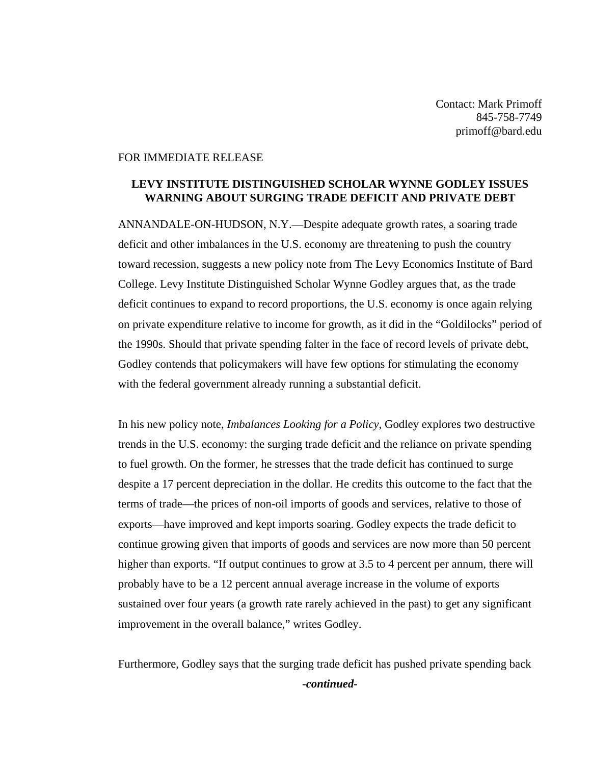Contact: Mark Primoff 845-758-7749 primoff@bard.edu

## FOR IMMEDIATE RELEASE

## **LEVY INSTITUTE DISTINGUISHED SCHOLAR WYNNE GODLEY ISSUES WARNING ABOUT SURGING TRADE DEFICIT AND PRIVATE DEBT**

ANNANDALE-ON-HUDSON, N.Y.—Despite adequate growth rates, a soaring trade deficit and other imbalances in the U.S. economy are threatening to push the country toward recession, suggests a new policy note from The Levy Economics Institute of Bard College. Levy Institute Distinguished Scholar Wynne Godley argues that, as the trade deficit continues to expand to record proportions, the U.S. economy is once again relying on private expenditure relative to income for growth, as it did in the "Goldilocks" period of the 1990s. Should that private spending falter in the face of record levels of private debt, Godley contends that policymakers will have few options for stimulating the economy with the federal government already running a substantial deficit.

In his new policy note, *Imbalances Looking for a Policy*, Godley explores two destructive trends in the U.S. economy: the surging trade deficit and the reliance on private spending to fuel growth. On the former, he stresses that the trade deficit has continued to surge despite a 17 percent depreciation in the dollar. He credits this outcome to the fact that the terms of trade—the prices of non-oil imports of goods and services, relative to those of exports—have improved and kept imports soaring. Godley expects the trade deficit to continue growing given that imports of goods and services are now more than 50 percent higher than exports. "If output continues to grow at 3.5 to 4 percent per annum, there will probably have to be a 12 percent annual average increase in the volume of exports sustained over four years (a growth rate rarely achieved in the past) to get any significant improvement in the overall balance," writes Godley.

Furthermore, Godley says that the surging trade deficit has pushed private spending back *-continued-*